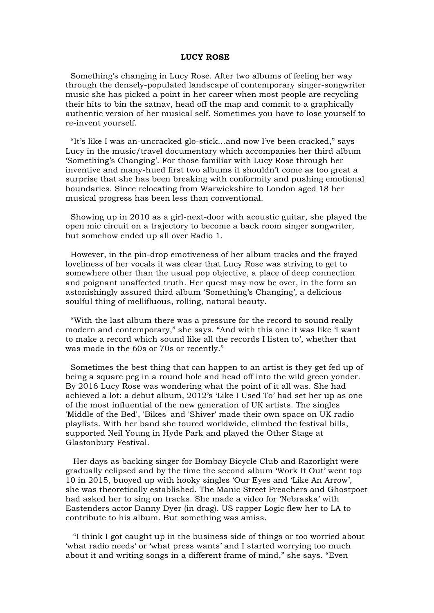## **LUCY ROSE**

 Something's changing in Lucy Rose. After two albums of feeling her way through the densely-populated landscape of contemporary singer-songwriter music she has picked a point in her career when most people are recycling their hits to bin the satnav, head off the map and commit to a graphically authentic version of her musical self. Sometimes you have to lose yourself to re-invent yourself.

 "It's like I was an-uncracked glo-stick…and now I've been cracked," says Lucy in the music/travel documentary which accompanies her third album 'Something's Changing'. For those familiar with Lucy Rose through her inventive and many-hued first two albums it shouldn't come as too great a surprise that she has been breaking with conformity and pushing emotional boundaries. Since relocating from Warwickshire to London aged 18 her musical progress has been less than conventional.

 Showing up in 2010 as a girl-next-door with acoustic guitar, she played the open mic circuit on a trajectory to become a back room singer songwriter, but somehow ended up all over Radio 1.

 However, in the pin-drop emotiveness of her album tracks and the frayed loveliness of her vocals it was clear that Lucy Rose was striving to get to somewhere other than the usual pop objective, a place of deep connection and poignant unaffected truth. Her quest may now be over, in the form an astonishingly assured third album 'Something's Changing', a delicious soulful thing of mellifluous, rolling, natural beauty.

 "With the last album there was a pressure for the record to sound really modern and contemporary," she says. "And with this one it was like 'I want to make a record which sound like all the records I listen to', whether that was made in the 60s or 70s or recently."

 Sometimes the best thing that can happen to an artist is they get fed up of being a square peg in a round hole and head off into the wild green yonder. By 2016 Lucy Rose was wondering what the point of it all was. She had achieved a lot: a debut album, 2012's 'Like I Used To' had set her up as one of the most influential of the new generation of UK artists. The singles 'Middle of the Bed', 'Bikes' and 'Shiver' made their own space on UK radio playlists. With her band she toured worldwide, climbed the festival bills, supported Neil Young in Hyde Park and played the Other Stage at Glastonbury Festival.

 Her days as backing singer for Bombay Bicycle Club and Razorlight were gradually eclipsed and by the time the second album 'Work It Out' went top 10 in 2015, buoyed up with hooky singles 'Our Eyes and 'Like An Arrow', she was theoretically established. The Manic Street Preachers and Ghostpoet had asked her to sing on tracks. She made a video for 'Nebraska' with Eastenders actor Danny Dyer (in drag). US rapper Logic flew her to LA to contribute to his album. But something was amiss.

 "I think I got caught up in the business side of things or too worried about 'what radio needs' or 'what press wants' and I started worrying too much about it and writing songs in a different frame of mind," she says. "Even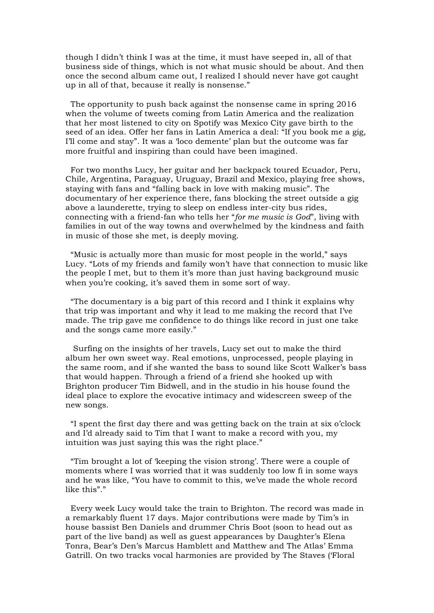though I didn't think I was at the time, it must have seeped in, all of that business side of things, which is not what music should be about. And then once the second album came out, I realized I should never have got caught up in all of that, because it really is nonsense."

 The opportunity to push back against the nonsense came in spring 2016 when the volume of tweets coming from Latin America and the realization that her most listened to city on Spotify was Mexico City gave birth to the seed of an idea. Offer her fans in Latin America a deal: "If you book me a gig, I'll come and stay". It was a 'loco demente' plan but the outcome was far more fruitful and inspiring than could have been imagined.

 For two months Lucy, her guitar and her backpack toured Ecuador, Peru, Chile, Argentina, Paraguay, Uruguay, Brazil and Mexico, playing free shows, staying with fans and "falling back in love with making music". The documentary of her experience there, fans blocking the street outside a gig above a launderette, trying to sleep on endless inter-city bus rides, connecting with a friend-fan who tells her "*for me music is God*", living with families in out of the way towns and overwhelmed by the kindness and faith in music of those she met, is deeply moving.

 "Music is actually more than music for most people in the world," says Lucy. "Lots of my friends and family won't have that connection to music like the people I met, but to them it's more than just having background music when you're cooking, it's saved them in some sort of way.

 "The documentary is a big part of this record and I think it explains why that trip was important and why it lead to me making the record that I've made. The trip gave me confidence to do things like record in just one take and the songs came more easily."

 Surfing on the insights of her travels, Lucy set out to make the third album her own sweet way. Real emotions, unprocessed, people playing in the same room, and if she wanted the bass to sound like Scott Walker's bass that would happen. Through a friend of a friend she hooked up with Brighton producer Tim Bidwell, and in the studio in his house found the ideal place to explore the evocative intimacy and widescreen sweep of the new songs.

 "I spent the first day there and was getting back on the train at six o'clock and I'd already said to Tim that I want to make a record with you, my intuition was just saying this was the right place."

 "Tim brought a lot of 'keeping the vision strong'. There were a couple of moments where I was worried that it was suddenly too low fi in some ways and he was like, "You have to commit to this, we've made the whole record like this"."

 Every week Lucy would take the train to Brighton. The record was made in a remarkably fluent 17 days. Major contributions were made by Tim's in house bassist Ben Daniels and drummer Chris Boot (soon to head out as part of the live band) as well as guest appearances by Daughter's Elena Tonra, Bear's Den's Marcus Hamblett and Matthew and The Atlas' Emma Gatrill. On two tracks vocal harmonies are provided by The Staves ('Floral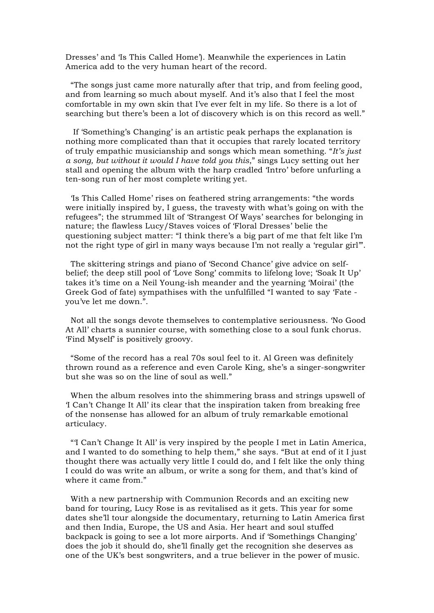Dresses' and 'Is This Called Home'). Meanwhile the experiences in Latin America add to the very human heart of the record.

 "The songs just came more naturally after that trip, and from feeling good, and from learning so much about myself. And it's also that I feel the most comfortable in my own skin that I've ever felt in my life. So there is a lot of searching but there's been a lot of discovery which is on this record as well."

 If 'Something's Changing' is an artistic peak perhaps the explanation is nothing more complicated than that it occupies that rarely located territory of truly empathic musicianship and songs which mean something. "*It's just a song, but without it would I have told you this*," sings Lucy setting out her stall and opening the album with the harp cradled 'Intro' before unfurling a ten-song run of her most complete writing yet.

 'Is This Called Home' rises on feathered string arrangements: "the words were initially inspired by, I guess, the travesty with what's going on with the refugees"; the strummed lilt of 'Strangest Of Ways' searches for belonging in nature; the flawless Lucy/Staves voices of 'Floral Dresses' belie the questioning subject matter: "I think there's a big part of me that felt like I'm not the right type of girl in many ways because I'm not really a 'regular girl'".

 The skittering strings and piano of 'Second Chance' give advice on selfbelief; the deep still pool of 'Love Song' commits to lifelong love; 'Soak It Up' takes it's time on a Neil Young-ish meander and the yearning 'Moirai' (the Greek God of fate) sympathises with the unfulfilled "I wanted to say 'Fate you've let me down.".

 Not all the songs devote themselves to contemplative seriousness. 'No Good At All' charts a sunnier course, with something close to a soul funk chorus. 'Find Myself' is positively groovy.

 "Some of the record has a real 70s soul feel to it. Al Green was definitely thrown round as a reference and even Carole King, she's a singer-songwriter but she was so on the line of soul as well."

 When the album resolves into the shimmering brass and strings upswell of 'I Can't Change It All' its clear that the inspiration taken from breaking free of the nonsense has allowed for an album of truly remarkable emotional articulacy.

 "'I Can't Change It All' is very inspired by the people I met in Latin America, and I wanted to do something to help them," she says. "But at end of it I just thought there was actually very little I could do, and I felt like the only thing I could do was write an album, or write a song for them, and that's kind of where it came from."

 With a new partnership with Communion Records and an exciting new band for touring, Lucy Rose is as revitalised as it gets. This year for some dates she'll tour alongside the documentary, returning to Latin America first and then India, Europe, the US and Asia. Her heart and soul stuffed backpack is going to see a lot more airports. And if 'Somethings Changing' does the job it should do, she'll finally get the recognition she deserves as one of the UK's best songwriters, and a true believer in the power of music.